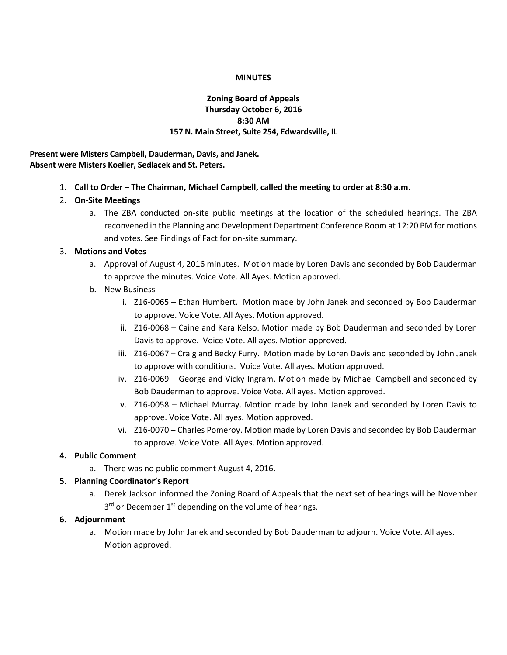### **MINUTES**

# **Zoning Board of Appeals Thursday October 6, 2016 8:30 AM 157 N. Main Street, Suite 254, Edwardsville, IL**

**Present were Misters Campbell, Dauderman, Davis, and Janek. Absent were Misters Koeller, Sedlacek and St. Peters.**

- 1. **Call to Order – The Chairman, Michael Campbell, called the meeting to order at 8:30 a.m.**
- 2. **On-Site Meetings**
	- a. The ZBA conducted on-site public meetings at the location of the scheduled hearings. The ZBA reconvened in the Planning and Development Department Conference Room at 12:20 PM for motions and votes. See Findings of Fact for on-site summary.

### 3. **Motions and Votes**

- a. Approval of August 4, 2016 minutes. Motion made by Loren Davis and seconded by Bob Dauderman to approve the minutes. Voice Vote. All Ayes. Motion approved.
- b. New Business
	- i. Z16-0065 Ethan Humbert. Motion made by John Janek and seconded by Bob Dauderman to approve. Voice Vote. All Ayes. Motion approved.
	- ii. Z16-0068 Caine and Kara Kelso. Motion made by Bob Dauderman and seconded by Loren Davis to approve. Voice Vote. All ayes. Motion approved.
	- iii. Z16-0067 Craig and Becky Furry. Motion made by Loren Davis and seconded by John Janek to approve with conditions. Voice Vote. All ayes. Motion approved.
	- iv. Z16-0069 George and Vicky Ingram. Motion made by Michael Campbell and seconded by Bob Dauderman to approve. Voice Vote. All ayes. Motion approved.
	- v. Z16-0058 Michael Murray. Motion made by John Janek and seconded by Loren Davis to approve. Voice Vote. All ayes. Motion approved.
	- vi. Z16-0070 Charles Pomeroy. Motion made by Loren Davis and seconded by Bob Dauderman to approve. Voice Vote. All Ayes. Motion approved.

# **4. Public Comment**

a. There was no public comment August 4, 2016.

# **5. Planning Coordinator's Report**

a. Derek Jackson informed the Zoning Board of Appeals that the next set of hearings will be November 3<sup>rd</sup> or December 1<sup>st</sup> depending on the volume of hearings.

# **6. Adjournment**

a. Motion made by John Janek and seconded by Bob Dauderman to adjourn. Voice Vote. All ayes. Motion approved.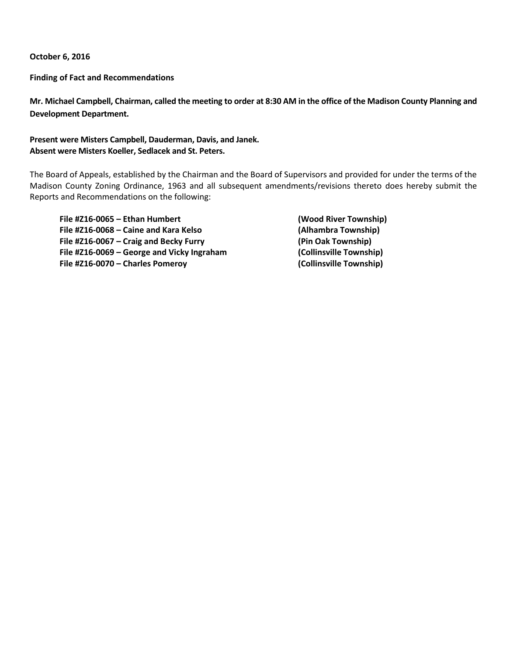**October 6, 2016**

**Finding of Fact and Recommendations**

**Mr. Michael Campbell, Chairman, called the meeting to order at 8:30 AM in the office of the Madison County Planning and Development Department.**

# **Present were Misters Campbell, Dauderman, Davis, and Janek. Absent were Misters Koeller, Sedlacek and St. Peters.**

The Board of Appeals, established by the Chairman and the Board of Supervisors and provided for under the terms of the Madison County Zoning Ordinance, 1963 and all subsequent amendments/revisions thereto does hereby submit the Reports and Recommendations on the following:

**File #Z16-0065 – Ethan Humbert (Wood River Township) File #Z16-0068 – Caine and Kara Kelso (Alhambra Township) File #Z16-0067 – Craig and Becky Furry (Pin Oak Township) File #Z16-0069 – George and Vicky Ingraham (Collinsville Township) File #Z16-0070 – Charles Pomeroy (Collinsville Township)**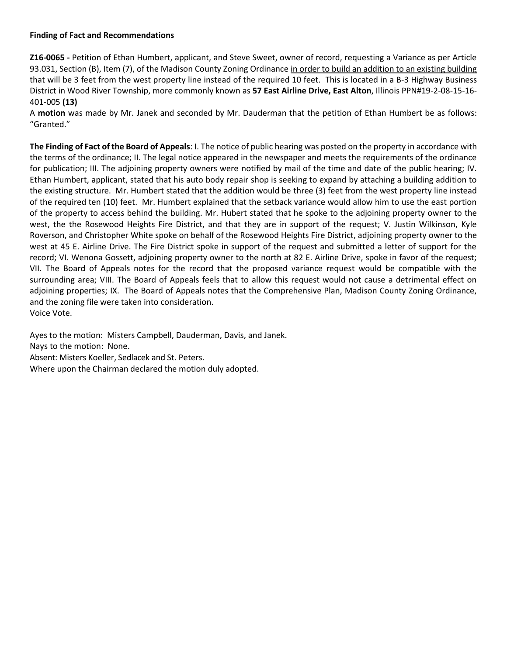## **Finding of Fact and Recommendations**

**Z16-0065 -** Petition of Ethan Humbert, applicant, and Steve Sweet, owner of record, requesting a Variance as per Article 93.031, Section (B), Item (7), of the Madison County Zoning Ordinance in order to build an addition to an existing building that will be 3 feet from the west property line instead of the required 10 feet. This is located in a B-3 Highway Business District in Wood River Township, more commonly known as **57 East Airline Drive, East Alton**, Illinois PPN#19-2-08-15-16- 401-005 **(13)**

A **motion** was made by Mr. Janek and seconded by Mr. Dauderman that the petition of Ethan Humbert be as follows: "Granted."

**The Finding of Fact of the Board of Appeals**: I. The notice of public hearing was posted on the property in accordance with the terms of the ordinance; II. The legal notice appeared in the newspaper and meets the requirements of the ordinance for publication; III. The adjoining property owners were notified by mail of the time and date of the public hearing; IV. Ethan Humbert, applicant, stated that his auto body repair shop is seeking to expand by attaching a building addition to the existing structure. Mr. Humbert stated that the addition would be three (3) feet from the west property line instead of the required ten (10) feet. Mr. Humbert explained that the setback variance would allow him to use the east portion of the property to access behind the building. Mr. Hubert stated that he spoke to the adjoining property owner to the west, the the Rosewood Heights Fire District, and that they are in support of the request; V. Justin Wilkinson, Kyle Roverson, and Christopher White spoke on behalf of the Rosewood Heights Fire District, adjoining property owner to the west at 45 E. Airline Drive. The Fire District spoke in support of the request and submitted a letter of support for the record; VI. Wenona Gossett, adjoining property owner to the north at 82 E. Airline Drive, spoke in favor of the request; VII. The Board of Appeals notes for the record that the proposed variance request would be compatible with the surrounding area; VIII. The Board of Appeals feels that to allow this request would not cause a detrimental effect on adjoining properties; IX. The Board of Appeals notes that the Comprehensive Plan, Madison County Zoning Ordinance, and the zoning file were taken into consideration. Voice Vote.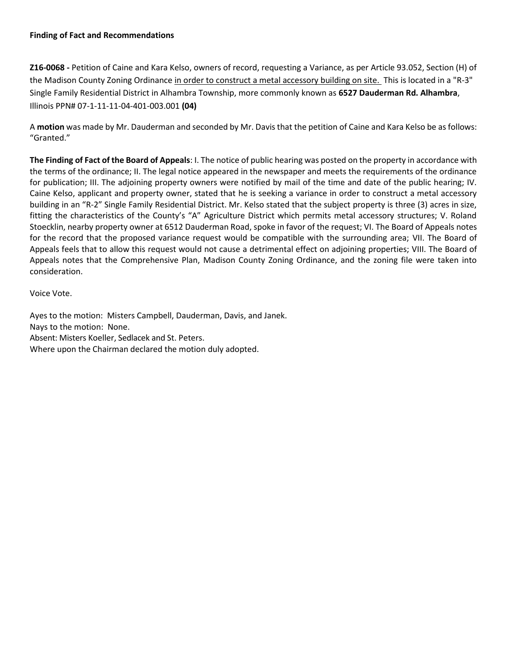### **Finding of Fact and Recommendations**

**Z16-0068 -** Petition of Caine and Kara Kelso, owners of record, requesting a Variance, as per Article 93.052, Section (H) of the Madison County Zoning Ordinance in order to construct a metal accessory building on site. This is located in a "R-3" Single Family Residential District in Alhambra Township, more commonly known as **6527 Dauderman Rd. Alhambra**, Illinois PPN# 07-1-11-11-04-401-003.001 **(04)**

A **motion** was made by Mr. Dauderman and seconded by Mr. Davis that the petition of Caine and Kara Kelso be as follows: "Granted."

**The Finding of Fact of the Board of Appeals**: I. The notice of public hearing was posted on the property in accordance with the terms of the ordinance; II. The legal notice appeared in the newspaper and meets the requirements of the ordinance for publication; III. The adjoining property owners were notified by mail of the time and date of the public hearing; IV. Caine Kelso, applicant and property owner, stated that he is seeking a variance in order to construct a metal accessory building in an "R-2" Single Family Residential District. Mr. Kelso stated that the subject property is three (3) acres in size, fitting the characteristics of the County's "A" Agriculture District which permits metal accessory structures; V. Roland Stoecklin, nearby property owner at 6512 Dauderman Road, spoke in favor of the request; VI. The Board of Appeals notes for the record that the proposed variance request would be compatible with the surrounding area; VII. The Board of Appeals feels that to allow this request would not cause a detrimental effect on adjoining properties; VIII. The Board of Appeals notes that the Comprehensive Plan, Madison County Zoning Ordinance, and the zoning file were taken into consideration.

Voice Vote.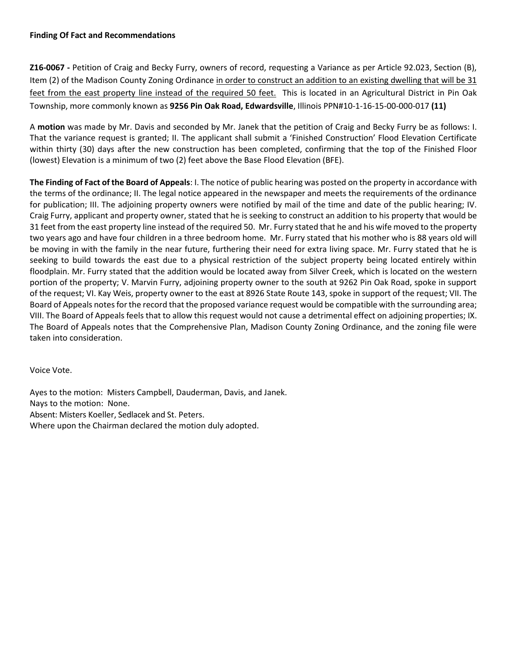## **Finding Of Fact and Recommendations**

**Z16-0067 -** Petition of Craig and Becky Furry, owners of record, requesting a Variance as per Article 92.023, Section (B), Item (2) of the Madison County Zoning Ordinance in order to construct an addition to an existing dwelling that will be 31 feet from the east property line instead of the required 50 feet. This is located in an Agricultural District in Pin Oak Township, more commonly known as **9256 Pin Oak Road, Edwardsville**, Illinois PPN#10-1-16-15-00-000-017 **(11)**

A **motion** was made by Mr. Davis and seconded by Mr. Janek that the petition of Craig and Becky Furry be as follows: I. That the variance request is granted; II. The applicant shall submit a 'Finished Construction' Flood Elevation Certificate within thirty (30) days after the new construction has been completed, confirming that the top of the Finished Floor (lowest) Elevation is a minimum of two (2) feet above the Base Flood Elevation (BFE).

**The Finding of Fact of the Board of Appeals**: I. The notice of public hearing was posted on the property in accordance with the terms of the ordinance; II. The legal notice appeared in the newspaper and meets the requirements of the ordinance for publication; III. The adjoining property owners were notified by mail of the time and date of the public hearing; IV. Craig Furry, applicant and property owner, stated that he is seeking to construct an addition to his property that would be 31 feet from the east property line instead of the required 50. Mr. Furry stated that he and his wife moved to the property two years ago and have four children in a three bedroom home. Mr. Furry stated that his mother who is 88 years old will be moving in with the family in the near future, furthering their need for extra living space. Mr. Furry stated that he is seeking to build towards the east due to a physical restriction of the subject property being located entirely within floodplain. Mr. Furry stated that the addition would be located away from Silver Creek, which is located on the western portion of the property; V. Marvin Furry, adjoining property owner to the south at 9262 Pin Oak Road, spoke in support of the request; VI. Kay Weis, property owner to the east at 8926 State Route 143, spoke in support of the request; VII. The Board of Appeals notes for the record that the proposed variance request would be compatible with the surrounding area; VIII. The Board of Appeals feels that to allow this request would not cause a detrimental effect on adjoining properties; IX. The Board of Appeals notes that the Comprehensive Plan, Madison County Zoning Ordinance, and the zoning file were taken into consideration.

Voice Vote.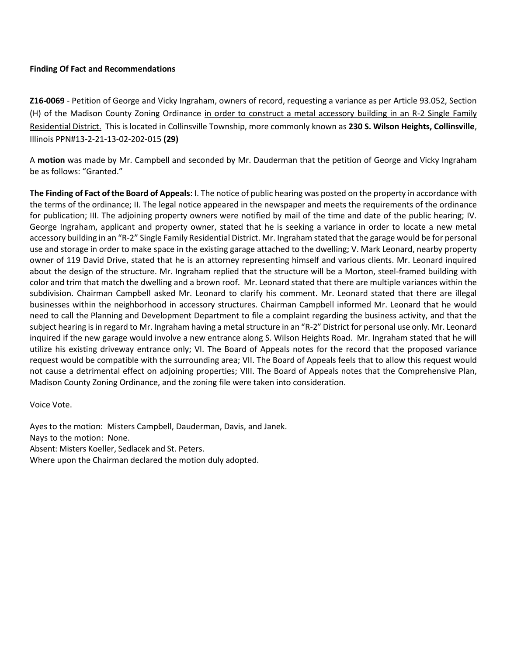# **Finding Of Fact and Recommendations**

**Z16-0069** - Petition of George and Vicky Ingraham, owners of record, requesting a variance as per Article 93.052, Section (H) of the Madison County Zoning Ordinance in order to construct a metal accessory building in an R-2 Single Family Residential District. This is located in Collinsville Township, more commonly known as **230 S. Wilson Heights, Collinsville**, Illinois PPN#13-2-21-13-02-202-015 **(29)**

A **motion** was made by Mr. Campbell and seconded by Mr. Dauderman that the petition of George and Vicky Ingraham be as follows: "Granted."

**The Finding of Fact of the Board of Appeals**: I. The notice of public hearing was posted on the property in accordance with the terms of the ordinance; II. The legal notice appeared in the newspaper and meets the requirements of the ordinance for publication; III. The adjoining property owners were notified by mail of the time and date of the public hearing; IV. George Ingraham, applicant and property owner, stated that he is seeking a variance in order to locate a new metal accessory building in an "R-2" Single Family Residential District. Mr. Ingraham stated that the garage would be for personal use and storage in order to make space in the existing garage attached to the dwelling; V. Mark Leonard, nearby property owner of 119 David Drive, stated that he is an attorney representing himself and various clients. Mr. Leonard inquired about the design of the structure. Mr. Ingraham replied that the structure will be a Morton, steel-framed building with color and trim that match the dwelling and a brown roof. Mr. Leonard stated that there are multiple variances within the subdivision. Chairman Campbell asked Mr. Leonard to clarify his comment. Mr. Leonard stated that there are illegal businesses within the neighborhood in accessory structures. Chairman Campbell informed Mr. Leonard that he would need to call the Planning and Development Department to file a complaint regarding the business activity, and that the subject hearing is in regard to Mr. Ingraham having a metal structure in an "R-2" District for personal use only. Mr. Leonard inquired if the new garage would involve a new entrance along S. Wilson Heights Road. Mr. Ingraham stated that he will utilize his existing driveway entrance only; VI. The Board of Appeals notes for the record that the proposed variance request would be compatible with the surrounding area; VII. The Board of Appeals feels that to allow this request would not cause a detrimental effect on adjoining properties; VIII. The Board of Appeals notes that the Comprehensive Plan, Madison County Zoning Ordinance, and the zoning file were taken into consideration.

Voice Vote.